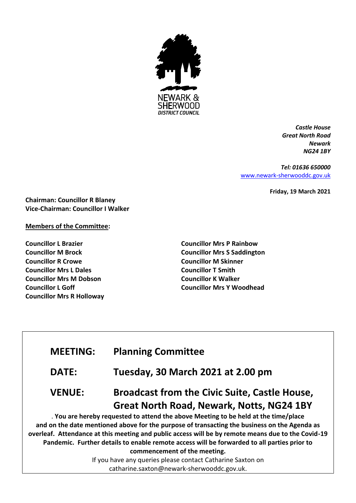

*Castle House Great North Road Newark NG24 1BY*

*Tel: 01636 650000* [www.newark-sherwooddc.gov.uk](http://www.newark-sherwooddc.gov.uk/)

**Friday, 19 March 2021**

**Chairman: Councillor R Blaney Vice-Chairman: Councillor I Walker**

#### **Members of the Committee:**

**Councillor L Brazier Councillor M Brock Councillor R Crowe Councillor Mrs L Dales Councillor Mrs M Dobson Councillor L Goff Councillor Mrs R Holloway** **Councillor Mrs P Rainbow Councillor Mrs S Saddington Councillor M Skinner Councillor T Smith Councillor K Walker Councillor Mrs Y Woodhead**

## **MEETING: Planning Committee**

**DATE: Tuesday, 30 March 2021 at 2.00 pm**

# **VENUE: Broadcast from the Civic Suite, Castle House, Great North Road, Newark, Notts, NG24 1BY**

. **You are hereby requested to attend the above Meeting to be held at the time/place and on the date mentioned above for the purpose of transacting the business on the Agenda as overleaf. Attendance at this meeting and public access will be by remote means due to the Covid-19 Pandemic. Further details to enable remote access will be forwarded to all parties prior to commencement of the meeting.**

If you have any queries please contact Catharine Saxton on catharine.saxton@newark-sherwooddc.gov.uk.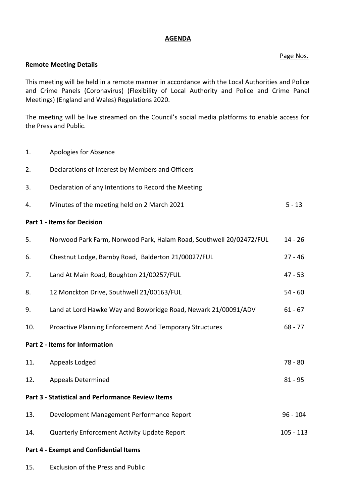#### **AGENDA**

#### Page Nos.

#### **Remote Meeting Details**

This meeting will be held in a remote manner in accordance with the Local Authorities and Police and Crime Panels (Coronavirus) (Flexibility of Local Authority and Police and Crime Panel Meetings) (England and Wales) Regulations 2020.

The meeting will be live streamed on the Council's social media platforms to enable access for the Press and Public.

- 1. Apologies for Absence
- 2. Declarations of Interest by Members and Officers
- 3. Declaration of any Intentions to Record the Meeting
- 4. Minutes of the meeting held on 2 March 2021 5 13

### **Part 1 - Items for Decision**

| 5.                                                | Norwood Park Farm, Norwood Park, Halam Road, Southwell 20/02472/FUL | $14 - 26$   |
|---------------------------------------------------|---------------------------------------------------------------------|-------------|
| 6.                                                | Chestnut Lodge, Barnby Road, Balderton 21/00027/FUL                 | $27 - 46$   |
| 7.                                                | Land At Main Road, Boughton 21/00257/FUL                            | $47 - 53$   |
| 8.                                                | 12 Monckton Drive, Southwell 21/00163/FUL                           | $54 - 60$   |
| 9.                                                | Land at Lord Hawke Way and Bowbridge Road, Newark 21/00091/ADV      | $61 - 67$   |
| 10.                                               | <b>Proactive Planning Enforcement And Temporary Structures</b>      | $68 - 77$   |
|                                                   | Part 2 - Items for Information                                      |             |
| 11.                                               | Appeals Lodged                                                      | $78 - 80$   |
| 12.                                               | <b>Appeals Determined</b>                                           | $81 - 95$   |
| Part 3 - Statistical and Performance Review Items |                                                                     |             |
| 13.                                               | Development Management Performance Report                           | $96 - 104$  |
| 14.                                               | Quarterly Enforcement Activity Update Report                        | $105 - 113$ |
| <b>Part 4 - Exempt and Confidential Items</b>     |                                                                     |             |

15. Exclusion of the Press and Public